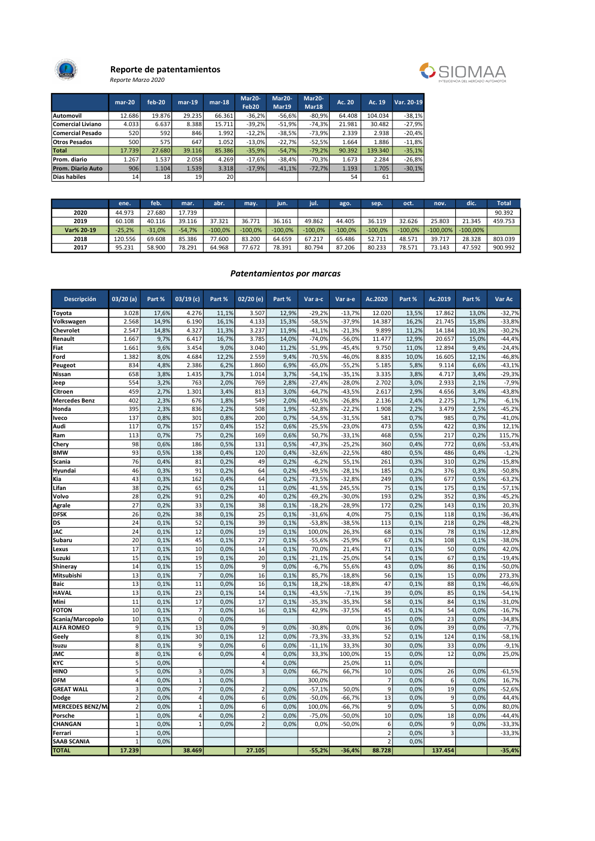

#### Reporte de patentamientos Reporte Marzo 2020



| eporte Marzo 2020 |  |
|-------------------|--|
|                   |  |

|                          | $mar-20$        | feb-20          | $mar-19$ | $mar-18$ | Mar20-    | Mar20-   | Mar20-   | Ac. 20 | Ac. 19  | Var. 20-19 |
|--------------------------|-----------------|-----------------|----------|----------|-----------|----------|----------|--------|---------|------------|
|                          |                 |                 |          |          | Feb20     | Mar19    | Mar18    |        |         |            |
| Automovil                | 12.686          | 19.876          | 29.235   | 66.361   | $-36.2%$  | $-56.6%$ | $-80.9%$ | 64.408 | 104.034 | $-38,1%$   |
| Comercial Liviano        | 4.033           | 6.637           | 8.388    | 15.711   | $-39.2%$  | $-51.9%$ | $-74,3%$ | 21.981 | 30.482  | $-27,9%$   |
| Comercial Pesado         | 520             | 592 l           | 846      | 1.992    | $-12.2%$  | $-38.5%$ | $-73,9%$ | 2.339  | 2.938   | $-20,4%$   |
| <b>Otros Pesados</b>     | 500             | 575             | 647      | 1.052    | $-13.0\%$ | $-22.7%$ | $-52.5%$ | 1.664  | 1.886   | $-11,8%$   |
| <b>Total</b>             | 17.739          | 27.680          | 39.116   | 85.386   | $-35.9%$  | $-54.7%$ | $-79.2%$ | 90.392 | 139.340 | $-35,1%$   |
| Prom. diario             | 1.267           | 1.537           | 2.058    | 4.269    | $-17.6%$  | $-38.4%$ | $-70.3%$ | 1.673  | 2.284   | $-26,8%$   |
| <b>Prom. Diario Auto</b> | 906             | 1.104           | 1.539    | 3.318    | $-17.9%$  | $-41,1%$ | $-72.7%$ | 1.193  | 1.705   | $-30,1%$   |
| Dias habiles             | 14 <sub>1</sub> | 18 <sup>1</sup> | 19       | 20 l     |           |          |          | 54     | 61      |            |

|            | ene.     | feb.     | mar.     | abr.      | may.      | <b>Jun.</b> | <b>TILL</b> | ago.      | sep.      | oct.      | nov.        | dic.        | <b>Total</b> |
|------------|----------|----------|----------|-----------|-----------|-------------|-------------|-----------|-----------|-----------|-------------|-------------|--------------|
| 2020       | 44.973   | 27.680   | 17.739   |           |           |             |             |           |           |           |             |             | 90.392       |
| 2019       | 60.108   | 40.116   | 39.116   | 37.321    | 36.771    | 36.161      | 49.862      | 44.405    | 36.119    | 32.626    | 25.803      | 21.345      | 459.753      |
| Var% 20-19 | $-25.2%$ | $-31.0%$ | $-54.7%$ | $-100.0%$ | $-100.0%$ | $-100.0\%$  | $-100.0\%$  | $-100.0%$ | $-100.0%$ | $-100.0%$ | $-100.00\%$ | $-100.00\%$ |              |
| 2018       | 120.556  | 69.608   | 85.386   | 77.600    | 83.200    | 64.659      | 67.217      | 65.486    | 52.711    | 48.571    | 39.717      | 28.328      | 803.039      |
| 2017       | 95.231   | 58,900   | 78.291   | 64.968    | 77.672    | 78.391      | 80.794      | 87.206    | 80.233    | 78.571    | 73.143      | 47.592      | 900.992      |

#### Patentamientos por marcas

| Descripción            | 03/20(a)                | Part % | $03/19$ (c)    | Part % | 02/20 (e)               | Part % | Var a-c  | Var a-e  | Ac.2020        | Part % | Ac.2019        | Part % | Var Ac   |
|------------------------|-------------------------|--------|----------------|--------|-------------------------|--------|----------|----------|----------------|--------|----------------|--------|----------|
| Toyota                 | 3.028                   | 17,6%  | 4.276          | 11,1%  | 3.507                   | 12,9%  | $-29,2%$ | $-13,7%$ | 12.020         | 13,5%  | 17.862         | 13,0%  | $-32,7%$ |
| Volkswagen             | 2.568                   | 14,9%  | 6.190          | 16,1%  | 4.133                   | 15,3%  | $-58,5%$ | $-37,9%$ | 14.387         | 16,2%  | 21.745         | 15,8%  | $-33,8%$ |
| Chevrolet              | 2.547                   | 14,8%  | 4.327          | 11,3%  | 3.237                   | 11,9%  | $-41,1%$ | $-21,3%$ | 9.899          | 11,2%  | 14.184         | 10,3%  | $-30,2%$ |
| Renault                | 1.667                   | 9,7%   | 6.417          | 16,7%  | 3.785                   | 14,0%  | $-74,0%$ | $-56,0%$ | 11.477         | 12,9%  | 20.657         | 15,0%  | $-44,4%$ |
| Fiat                   | 1.661                   | 9,6%   | 3.454          | 9.0%   | 3.040                   | 11,2%  | $-51,9%$ | $-45,4%$ | 9.750          | 11.0%  | 12.894         | 9,4%   | $-24,4%$ |
| Ford                   | 1.382                   | 8,0%   | 4.684          | 12,2%  | 2.559                   | 9,4%   | $-70,5%$ | $-46,0%$ | 8.835          | 10,0%  | 16.605         | 12,1%  | $-46,8%$ |
| Peugeot                | 834                     | 4,8%   | 2.386          | 6,2%   | 1.860                   | 6,9%   | $-65,0%$ | $-55,2%$ | 5.185          | 5,8%   | 9.114          | 6,6%   | $-43,1%$ |
| Nissan                 | 658                     | 3,8%   | 1.435          | 3,7%   | 1.014                   | 3,7%   | $-54,1%$ | $-35,1%$ | 3.335          | 3,8%   | 4.717          | 3,4%   | $-29,3%$ |
| Jeep                   | 554                     | 3,2%   | 763            | 2,0%   | 769                     | 2,8%   | $-27,4%$ | $-28,0%$ | 2.702          | 3,0%   | 2.933          | 2,1%   | $-7,9%$  |
| Citroen                | 459                     | 2,7%   | 1.301          | 3,4%   | 813                     | 3,0%   | $-64,7%$ | $-43,5%$ | 2.617          | 2,9%   | 4.656          | 3,4%   | $-43,8%$ |
| Mercedes Benz          | 402                     | 2,3%   | 676            | 1,8%   | 549                     | 2,0%   | $-40,5%$ | $-26,8%$ | 2.136          | 2,4%   | 2.275          | 1,7%   | $-6,1%$  |
| Honda                  | 395                     | 2,3%   | 836            | 2,2%   | 508                     | 1,9%   | $-52,8%$ | $-22,2%$ | 1.908          | 2,2%   | 3.479          | 2,5%   | $-45,2%$ |
| lveco                  | 137                     | 0,8%   | 301            | 0,8%   | 200                     | 0,7%   | $-54,5%$ | $-31,5%$ | 581            | 0,7%   | 985            | 0,7%   | $-41,0%$ |
| Audi                   | 117                     | 0,7%   | 157            | 0,4%   | 152                     | 0,6%   | $-25,5%$ | $-23,0%$ | 473            | 0,5%   | 422            | 0,3%   | 12,1%    |
| Ram                    | 113                     | 0,7%   | 75             | 0,2%   | 169                     | 0,6%   | 50,7%    | $-33,1%$ | 468            | 0,5%   | 217            | 0,2%   | 115,7%   |
| Chery                  | 98                      | 0,6%   | 186            | 0,5%   | 131                     | 0,5%   | $-47,3%$ | $-25,2%$ | 360            | 0,4%   | 772            | 0,6%   | $-53,4%$ |
| <b>BMW</b>             | 93                      | 0,5%   | 138            | 0,4%   | 120                     | 0,4%   | $-32,6%$ | $-22,5%$ | 480            | 0,5%   | 486            | 0,4%   | $-1,2%$  |
| Scania                 | 76                      | 0,4%   | 81             | 0,2%   | 49                      | 0,2%   | $-6,2%$  | 55,1%    | 261            | 0,3%   | 310            | 0,2%   | $-15,8%$ |
| Hyundai                | 46                      | 0,3%   | 91             | 0,2%   | 64                      | 0,2%   | $-49,5%$ | $-28,1%$ | 185            | 0,2%   | 376            | 0,3%   | $-50,8%$ |
| Kia                    | 43                      | 0,3%   | 162            | 0,4%   | 64                      | 0,2%   | $-73,5%$ | $-32,8%$ | 249            | 0,3%   | 677            | 0,5%   | $-63,2%$ |
| Lifan                  | 38                      | 0,2%   | 65             | 0,2%   | 11                      | 0,0%   | $-41,5%$ | 245,5%   | 75             | 0,1%   | 175            | 0,1%   | $-57,1%$ |
| Volvo                  | 28                      | 0,2%   | 91             | 0,2%   | 40                      | 0,2%   | $-69,2%$ | $-30,0%$ | 193            | 0,2%   | 352            | 0,3%   | $-45,2%$ |
| Agrale                 | 27                      | 0,2%   | 33             | 0,1%   | 38                      | 0,1%   | $-18,2%$ | $-28,9%$ | 172            | 0,2%   | 143            | 0,1%   | 20,3%    |
| <b>DFSK</b>            | 26                      | 0,2%   | 38             | 0,1%   | 25                      | 0,1%   | $-31,6%$ | 4,0%     | 75             | 0,1%   | 118            | 0,1%   | $-36,4%$ |
| DS                     | 24                      | 0,1%   | 52             | 0,1%   | 39                      | 0,1%   | $-53,8%$ | $-38,5%$ | 113            | 0,1%   | 218            | 0,2%   | $-48,2%$ |
| JAC                    | 24                      | 0,1%   | 12             | 0,0%   | 19                      | 0,1%   | 100,0%   | 26,3%    | 68             | 0,1%   | 78             | 0,1%   | $-12,8%$ |
| Subaru                 | 20                      | 0.1%   | 45             | 0.1%   | 27                      | 0,1%   | $-55,6%$ | $-25,9%$ | 67             | 0,1%   | 108            | 0,1%   | $-38,0%$ |
| Lexus                  | 17                      | 0,1%   | 10             | 0.0%   | 14                      | 0.1%   | 70,0%    | 21,4%    | 71             | 0,1%   | 50             | 0,0%   | 42,0%    |
| Suzuki                 | 15                      | 0,1%   | 19             | 0,1%   | 20                      | 0,1%   | $-21,1%$ | $-25,0%$ | 54             | 0,1%   | 67             | 0,1%   | $-19,4%$ |
| Shineray               | 14                      | 0,1%   | 15             | 0,0%   | 9                       | 0,0%   | $-6,7%$  | 55,6%    | 43             | 0,0%   | 86             | 0,1%   | $-50,0%$ |
| Mitsubishi             | 13                      | 0,1%   | $\overline{7}$ | 0,0%   | 16                      | 0,1%   | 85,7%    | $-18,8%$ | 56             | 0,1%   | 15             | 0,0%   | 273,3%   |
| Baic                   | 13                      | 0,1%   | 11             | 0,0%   | 16                      | 0,1%   | 18,2%    | $-18,8%$ | 47             | 0,1%   | 88             | 0,1%   | $-46,6%$ |
| <b>HAVAL</b>           | 13                      | 0,1%   | 23             | 0,1%   | 14                      | 0,1%   | $-43,5%$ | $-7,1%$  | 39             | 0,0%   | 85             | 0,1%   | $-54,1%$ |
| Mini                   | 11                      | 0,1%   | 17             | 0,0%   | 17                      | 0,1%   | $-35,3%$ | $-35,3%$ | 58             | 0,1%   | 84             | 0,1%   | $-31,0%$ |
| <b>FOTON</b>           | 10                      | 0,1%   | $\overline{7}$ | 0,0%   | 16                      | 0,1%   | 42,9%    | $-37,5%$ | 45             | 0,1%   | 54             | 0,0%   | $-16,7%$ |
| Scania/Marcopolo       | 10                      | 0,1%   | $\mathbf 0$    | 0,0%   |                         |        |          |          | 15             | 0,0%   | 23             | 0,0%   | $-34,8%$ |
| <b>ALFA ROMEO</b>      | 9                       | 0,1%   | 13             | 0,0%   | 9                       | 0,0%   | $-30,8%$ | 0,0%     | 36             | 0,0%   | 39             | 0,0%   | $-7,7%$  |
| Geely                  | 8                       | 0,1%   | 30             | 0,1%   | 12                      | 0,0%   | $-73,3%$ | $-33,3%$ | 52             | 0,1%   | 124            | 0,1%   | $-58,1%$ |
| Isuzu                  | 8                       | 0,1%   | 9              | 0.0%   | 6                       | 0,0%   | $-11,1%$ | 33,3%    | 30             | 0,0%   | 33             | 0,0%   | $-9,1%$  |
| JMC                    | 8                       | 0,1%   | 6              | 0.0%   | $\overline{4}$          | 0,0%   | 33,3%    | 100,0%   | 15             | 0,0%   | 12             | 0,0%   | 25,0%    |
| KYC                    | 5                       | 0,0%   |                |        | $\overline{4}$          | 0,0%   |          | 25,0%    | 11             | 0,0%   |                |        |          |
| HINO                   | 5                       | 0,0%   | $\overline{3}$ | 0,0%   | $\overline{\mathbf{3}}$ | 0,0%   | 66,7%    | 66,7%    | 10             | 0,0%   | 26             | 0,0%   | $-61,5%$ |
| <b>DFM</b>             | 4                       | 0,0%   | $\mathbf{1}$   | 0.0%   |                         |        | 300,0%   |          | $\overline{7}$ | 0,0%   | 6              | 0,0%   | 16,7%    |
| <b>GREAT WALL</b>      | $\overline{\mathbf{3}}$ | 0,0%   | $\overline{7}$ | 0,0%   | $\overline{a}$          | 0,0%   | $-57,1%$ | 50,0%    | 9              | 0,0%   | 19             | 0,0%   | $-52,6%$ |
| Dodge                  | $\overline{2}$          | 0,0%   | $\overline{4}$ | 0,0%   | 6                       | 0.0%   | $-50,0%$ | $-66,7%$ | 13             | 0,0%   | 9              | 0,0%   | 44,4%    |
| <b>MERCEDES BENZ/M</b> | $\overline{2}$          | 0,0%   | $\mathbf{1}$   | 0,0%   | 6                       | 0,0%   | 100,0%   | $-66,7%$ | 9              | 0,0%   | 5              | 0,0%   | 80,0%    |
| Porsche                | $\mathbf{1}$            | 0,0%   | $\overline{4}$ | 0,0%   | $\overline{2}$          | 0,0%   | $-75,0%$ | $-50,0%$ | 10             | 0,0%   | 18             | 0,0%   | -44,4%   |
| CHANGAN                | $\mathbf{1}$            | 0,0%   | $\mathbf{1}$   | 0,0%   | $\overline{2}$          | 0,0%   | 0,0%     | $-50,0%$ | 6              | 0,0%   | 9              | 0,0%   | $-33,3%$ |
| Ferrari                | $\mathbf{1}$            | 0,0%   |                |        |                         |        |          |          | $\overline{a}$ | 0,0%   | $\overline{3}$ |        | $-33,3%$ |
| <b>SAAB SCANIA</b>     | $\mathbf{1}$            | 0.0%   |                |        |                         |        |          |          | $\overline{2}$ | 0.0%   |                |        |          |
| <b>TOTAL</b>           | 17.239                  |        | 38.469         |        | 27.105                  |        | $-55,2%$ | $-36,4%$ | 88.728         |        | 137.454        |        | $-35,4%$ |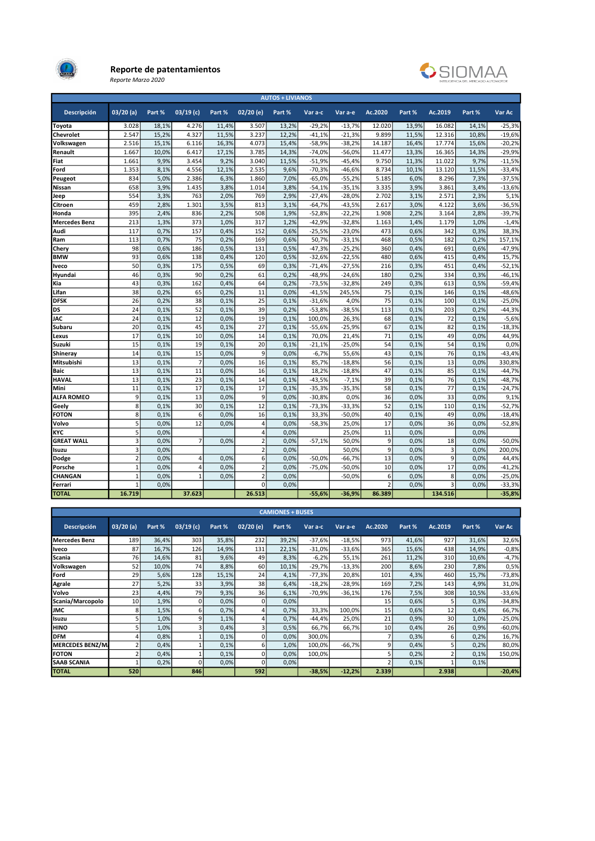

#### Reporte de patentamientos

Reporte Marzo 2020



|                      |                         |        |                |        |                | <b>AUTOS + LIVIANOS</b> |          |          |         |        |         |        |          |
|----------------------|-------------------------|--------|----------------|--------|----------------|-------------------------|----------|----------|---------|--------|---------|--------|----------|
| <b>Descripción</b>   | 03/20(a)                | Part % | $03/19$ (c)    | Part % | $02/20$ (e)    | Part %                  | Var a-c  | Var a-e  | Ac.2020 | Part % | Ac.2019 | Part % | Var Ac   |
| Toyota               | 3.028                   | 18,1%  | 4.276          | 11,4%  | 3.507          | 13,2%                   | $-29,2%$ | $-13,7%$ | 12.020  | 13,9%  | 16.082  | 14,1%  | $-25,3%$ |
| Chevrolet            | 2.547                   | 15,2%  | 4.327          | 11,5%  | 3.237          | 12,2%                   | $-41,1%$ | $-21,3%$ | 9.899   | 11,5%  | 12.316  | 10,8%  | $-19,6%$ |
| Volkswagen           | 2.516                   | 15.1%  | 6.116          | 16.3%  | 4.073          | 15.4%                   | $-58.9%$ | $-38.2%$ | 14.187  | 16.4%  | 17.774  | 15.6%  | $-20.2%$ |
| Renault              | 1.667                   | 10,0%  | 6.417          | 17,1%  | 3.785          | 14,3%                   | $-74,0%$ | $-56,0%$ | 11.477  | 13,3%  | 16.365  | 14,3%  | $-29,9%$ |
| Fiat                 | 1.661                   | 9,9%   | 3.454          | 9,2%   | 3.040          | 11,5%                   | $-51,9%$ | $-45,4%$ | 9.750   | 11,3%  | 11.022  | 9,7%   | $-11,5%$ |
| Ford                 | 1.353                   | 8,1%   | 4.556          | 12,1%  | 2.535          | 9,6%                    | $-70,3%$ | $-46,6%$ | 8.734   | 10,1%  | 13.120  | 11,5%  | $-33,4%$ |
| Peugeot              | 834                     | 5,0%   | 2.386          | 6,3%   | 1.860          | 7,0%                    | $-65,0%$ | $-55,2%$ | 5.185   | 6,0%   | 8.296   | 7,3%   | $-37,5%$ |
| Nissan               | 658                     | 3,9%   | 1.435          | 3.8%   | 1.014          | 3.8%                    | $-54.1%$ | $-35.1%$ | 3.335   | 3,9%   | 3.861   | 3,4%   | $-13,6%$ |
| Jeep                 | 554                     | 3,3%   | 763            | 2,0%   | 769            | 2,9%                    | $-27,4%$ | $-28,0%$ | 2.702   | 3,1%   | 2.571   | 2,3%   | 5,1%     |
| Citroen              | 459                     | 2,8%   | 1.301          | 3,5%   | 813            | 3,1%                    | $-64,7%$ | $-43,5%$ | 2.617   | 3,0%   | 4.122   | 3,6%   | $-36,5%$ |
| Honda                | 395                     | 2,4%   | 836            | 2,2%   | 508            | 1,9%                    | $-52,8%$ | $-22,2%$ | 1.908   | 2,2%   | 3.164   | 2,8%   | $-39,7%$ |
| <b>Mercedes Benz</b> | 213                     | 1,3%   | 373            | 1,0%   | 317            | 1.2%                    | $-42,9%$ | $-32,8%$ | 1.163   | 1,4%   | 1.179   | 1,0%   | $-1,4%$  |
| Audi                 | 117                     | 0.7%   | 157            | 0.4%   | 152            | 0.6%                    | $-25.5%$ | $-23.0%$ | 473     | 0.6%   | 342     | 0.3%   | 38,3%    |
| Ram                  | 113                     | 0,7%   | 75             | 0,2%   | 169            | 0,6%                    | 50,7%    | $-33,1%$ | 468     | 0,5%   | 182     | 0,2%   | 157,1%   |
| Chery                | 98                      | 0,6%   | 186            | 0,5%   | 131            | 0,5%                    | $-47,3%$ | $-25,2%$ | 360     | 0,4%   | 691     | 0,6%   | $-47,9%$ |
| <b>BMW</b>           | 93                      | 0,6%   | 138            | 0,4%   | 120            | 0,5%                    | $-32,6%$ | $-22,5%$ | 480     | 0,6%   | 415     | 0,4%   | 15,7%    |
| lveco                | 50                      | 0,3%   | 175            | 0,5%   | 69             | 0,3%                    | $-71,4%$ | $-27,5%$ | 216     | 0,3%   | 451     | 0,4%   | $-52,1%$ |
| Hyundai              | 46                      | 0,3%   | 90             | 0.2%   | 61             | 0.2%                    | $-48,9%$ | $-24.6%$ | 180     | 0.2%   | 334     | 0.3%   | $-46,1%$ |
| Kia                  | 43                      | 0,3%   | 162            | 0,4%   | 64             | 0,2%                    | $-73,5%$ | $-32,8%$ | 249     | 0,3%   | 613     | 0,5%   | $-59,4%$ |
| Lifan                | 38                      | 0,2%   | 65             | 0,2%   | 11             | 0,0%                    | $-41,5%$ | 245,5%   | 75      | 0,1%   | 146     | 0,1%   | $-48,6%$ |
| <b>DFSK</b>          | 26                      | 0,2%   | 38             | 0,1%   | 25             | 0,1%                    | $-31,6%$ | 4,0%     | 75      | 0,1%   | 100     | 0,1%   | $-25,0%$ |
| DS                   | 24                      | 0.1%   | 52             | 0.1%   | 39             | 0,2%                    | $-53,8%$ | $-38,5%$ | 113     | 0.1%   | 203     | 0,2%   | $-44,3%$ |
| <b>JAC</b>           | 24                      | 0.1%   | 12             | 0,0%   | 19             | 0.1%                    | 100,0%   | 26,3%    | 68      | 0.1%   | 72      | 0.1%   | $-5,6%$  |
| Subaru               | 20                      | 0,1%   | 45             | 0,1%   | 27             | 0,1%                    | $-55,6%$ | $-25,9%$ | 67      | 0,1%   | 82      | 0,1%   | $-18,3%$ |
| Lexus                | 17                      | 0,1%   | 10             | 0,0%   | 14             | 0,1%                    | 70,0%    | 21,4%    | 71      | 0,1%   | 49      | 0,0%   | 44,9%    |
| Suzuki               | 15                      | 0.1%   | 19             | 0.1%   | 20             | 0.1%                    | $-21.1%$ | $-25,0%$ | 54      | 0.1%   | 54      | 0.1%   | 0,0%     |
| Shineray             | 14                      | 0.1%   | 15             | 0,0%   | 9              | 0,0%                    | $-6,7%$  | 55,6%    | 43      | 0.1%   | 76      | 0.1%   | $-43,4%$ |
| Mitsubishi           | 13                      | 0.1%   | $\overline{7}$ | 0,0%   | 16             | 0,1%                    | 85,7%    | $-18,8%$ | 56      | 0.1%   | 13      | 0.0%   | 330,8%   |
| <b>Baic</b>          | 13                      | 0,1%   | 11             | 0,0%   | 16             | 0,1%                    | 18,2%    | $-18,8%$ | 47      | 0,1%   | 85      | 0,1%   | $-44,7%$ |
| <b>HAVAL</b>         | 13                      | 0,1%   | 23             | 0,1%   | 14             | 0,1%                    | $-43,5%$ | $-7,1%$  | 39      | 0,1%   | 76      | 0,1%   | $-48,7%$ |
| Mini                 | 11                      | 0.1%   | 17             | 0.1%   | 17             | 0.1%                    | $-35,3%$ | $-35,3%$ | 58      | 0.1%   | 77      | 0.1%   | $-24,7%$ |
| <b>ALFA ROMEO</b>    | 9                       | 0,1%   | 13             | 0,0%   | 9              | 0,0%                    | $-30,8%$ | 0,0%     | 36      | 0,0%   | 33      | 0,0%   | 9,1%     |
| Geely                | 8                       | 0,1%   | 30             | 0,1%   | 12             | 0,1%                    | $-73,3%$ | $-33,3%$ | 52      | 0,1%   | 110     | 0.1%   | $-52,7%$ |
| <b>FOTON</b>         | 8                       | 0,1%   | 6              | 0,0%   | 16             | 0,1%                    | 33,3%    | $-50,0%$ | 40      | 0,1%   | 49      | 0,0%   | $-18,4%$ |
| Volvo                | $\overline{5}$          | 0.0%   | 12             | 0.0%   | 4              | 0.0%                    | $-58,3%$ | 25,0%    | 17      | 0.0%   | 36      | 0.0%   | $-52,8%$ |
| KYC                  | 5                       | 0.0%   |                |        | $\overline{4}$ | 0.0%                    |          | 25,0%    | 11      | 0.0%   |         | 0.0%   |          |
| <b>GREAT WALL</b>    | 3                       | 0,0%   | $\overline{7}$ | 0,0%   | $\overline{2}$ | 0,0%                    | $-57,1%$ | 50,0%    | 9       | 0,0%   | 18      | 0,0%   | $-50,0%$ |
| Isuzu                | $\overline{\mathbf{3}}$ | 0,0%   |                |        | $\overline{2}$ | 0,0%                    |          | 50,0%    | 9       | 0,0%   | 3       | 0,0%   | 200,0%   |
| Dodge                | $\overline{2}$          | 0,0%   | 4              | 0,0%   | 6              | 0,0%                    | $-50,0%$ | $-66,7%$ | 13      | 0,0%   | 9       | 0,0%   | 44,4%    |
| Porsche              | $\overline{1}$          | 0.0%   | $\overline{4}$ | 0.0%   | $\overline{2}$ | 0.0%                    | $-75,0%$ | $-50.0%$ | 10      | 0.0%   | 17      | 0.0%   | $-41,2%$ |
| CHANGAN              | $\mathbf{1}$            | 0.0%   | $\mathbf{1}$   | 0.0%   | $\overline{2}$ | 0.0%                    |          | $-50,0%$ | 6       | 0.0%   | 8       | 0.0%   | $-25,0%$ |
| Ferrari              | $\overline{1}$          | 0,0%   |                |        | $\Omega$       | 0,0%                    |          |          | t       | 0.0%   | 3       | 0.0%   | $-33,3%$ |
| <b>TOTAL</b>         | 16.719                  |        | 37.623         |        | 26.513         |                         | $-55,6%$ | $-36,9%$ | 86.389  |        | 134.516 |        | $-35,8%$ |

| <b>CAMIONES + BUSES</b> |             |        |             |        |                 |        |          |          |         |        |                 |        |          |
|-------------------------|-------------|--------|-------------|--------|-----------------|--------|----------|----------|---------|--------|-----------------|--------|----------|
| <b>Descripción</b>      | $03/20$ (a) | Part % | $03/19$ (c) | Part % | $02/20$ (e)     | Part % | Var a-c  | Var a-e  | Ac.2020 | Part % | Ac.2019         | Part % | Var Ac   |
| Mercedes Benz           | 189         | 36,4%  | 303         | 35,8%  | 232             | 39,2%  | $-37,6%$ | $-18,5%$ | 973     | 41,6%  | 927             | 31,6%  | 32,6%    |
| <b>Iveco</b>            | 87          | 16,7%  | 126         | 14,9%  | 131             | 22,1%  | $-31,0%$ | $-33,6%$ | 365     | 15,6%  | 438             | 14.9%  | $-0,8%$  |
| Scania                  | 76          | 14,6%  | 81          | 9,6%   | 49              | 8,3%   | $-6,2%$  | 55,1%    | 261     | 11,2%  | 310             | 10,6%  | $-4,7%$  |
| Volkswagen              | 52          | 10,0%  | 74          | 8,8%   | 60              | 10,1%  | $-29,7%$ | $-13,3%$ | 200     | 8,6%   | 230             | 7,8%   | 0,5%     |
| Ford                    | 29          | 5,6%   | 128         | 15,1%  | 24              | 4,1%   | $-77,3%$ | 20,8%    | 101     | 4,3%   | 460             | 15,7%  | $-73,8%$ |
| <b>Agrale</b>           | 27          | 5,2%   | 33          | 3,9%   | 38 <sub>1</sub> | 6,4%   | $-18,2%$ | -28,9%   | 169     | 7,2%   | 143             | 4,9%   | 31,0%    |
| Volvo                   | 23          | 4,4%   | 79          | 9,3%   | 36              | 6,1%   | $-70,9%$ | $-36,1%$ | 176     | 7,5%   | 308             | 10,5%  | $-33,6%$ |
| Scania/Marcopolo        | 10          | 1,9%   | $\Omega$    | 0,0%   | $\Omega$        | 0,0%   |          |          | 15      | 0,6%   |                 | 0,3%   | -34,8%   |
| <b>JMC</b>              | 8           | 1,5%   | 6           | 0,7%   |                 | 0,7%   | 33,3%    | 100,0%   | 15      | 0,6%   | 12              | 0,4%   | 66,7%    |
| Isuzu                   | 5           | 1,0%   | 9           | 1,1%   |                 | 0,7%   | $-44,4%$ | 25,0%    | 21      | 0,9%   | 30 <sup>1</sup> | 1,0%   | $-25,0%$ |
| <b>HINO</b>             |             | 1,0%   | з           | 0,4%   | в               | 0,5%   | 66,7%    | 66,7%    | 10      | 0,4%   | 26              | 0,9%   | $-60,0%$ |
| <b>DFM</b>              |             | 0,8%   |             | 0,1%   | $\Omega$        | 0,0%   | 300,0%   |          |         | 0,3%   | 6               | 0,2%   | 16,7%    |
| MERCEDES BENZ/M         |             | 0,4%   |             | 0,1%   | 6               | 1,0%   | 100,0%   | $-66,7%$ | q       | 0,4%   |                 | 0,2%   | 80,0%    |
| <b>FOTON</b>            |             | 0,4%   |             | 0,1%   | $\Omega$        | 0,0%   | 100,0%   |          |         | 0,2%   |                 | 0,1%   | 150,0%   |
| <b>SAAB SCANIA</b>      |             | 0,2%   | $\Omega$    | 0,0%   | $\Omega$        | 0,0%   |          |          |         | 0,1%   |                 | 0,1%   |          |
| <b>TOTAL</b>            | 520         |        | 846         |        | 592             |        | $-38,5%$ | $-12,2%$ | 2.339   |        | 2.938           |        | $-20,4%$ |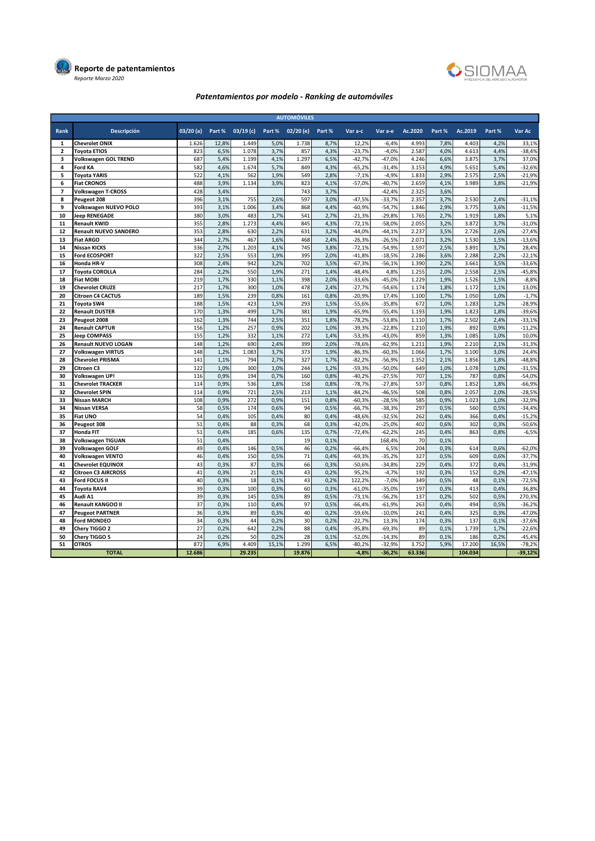



# Patentamientos por modelo - Ranking de automóviles

| <b>AUTOMÓVILES</b> |                                                        |          |              |             |              |          |              |                      |                      |            |              |            |              |                      |
|--------------------|--------------------------------------------------------|----------|--------------|-------------|--------------|----------|--------------|----------------------|----------------------|------------|--------------|------------|--------------|----------------------|
| Rank               | <b>Descripción</b>                                     | 03/20(a) | Part %       | $03/19$ (c) | Part %       | 02/20(e) | Part %       | Var a-c              | Var a-e              | Ac.2020    | Part %       | Ac.2019    | Part %       | Var Ac               |
| 1                  | <b>Chevrolet ONIX</b>                                  | 1.626    | 12,8%        | 1.449       | 5.0%         | 1.738    | 8.7%         | 12,2%                | $-6,4%$              | 4.993      | 7,8%         | 4.403      | 4,2%         | 33,1%                |
| $\overline{2}$     | <b>Toyota ETIOS</b>                                    | 823      | 6,5%         | 1.078       | 3,7%         | 857      | 4,3%         | $-23,7%$             | $-4,0%$              | 2.587      | 4,0%         | 4.613      | 4,4%         | $-38,4%$             |
| 3                  | <b>Volkswagen GOL TREND</b>                            | 687      | 5,4%         | 1.199       | 4,1%         | 1.297    | 6,5%         | $-42,7%$             | $-47,0%$             | 4.246      | 6,6%         | 3.875      | 3,7%         | 37,0%                |
| 4                  | <b>Ford KA</b>                                         | 582      | 4,6%         | 1.674       | 5,7%         | 849      | 4,3%         | $-65,2%$             | $-31,4%$             | 3.153      | 4,9%         | 5.651      | 5,4%         | $-32,6%$             |
| 5                  | <b>Toyota YARIS</b>                                    | 522      | 4,1%         | 562         | 1,9%         | 549      | 2,8%         | $-7,1%$              | $-4,9%$              | 1.833      | 2,9%         | 2.575      | 2,5%         | $-21,9%$             |
| 6                  | <b>Fiat CRONOS</b>                                     | 488      | 3,9%         | 1.134       | 3,9%         | 823      | 4,1%         | $-57,0%$             | $-40,7%$             | 2.659      | 4,1%         | 3.989      | 3,8%         | $-21,9%$             |
| $\overline{7}$     | <b>Volkswagen T-CROSS</b>                              | 428      | 3,4%         |             |              | 743      | 3,7%         |                      | $-42,4%$             | 2.325      | 3,6%         |            |              |                      |
| 8                  | Peugeot 208                                            | 396      | 3,1%         | 755         | 2,6%         | 597      | 3,0%         | $-47,5%$             | $-33,7%$             | 2.357      | 3,7%         | 2.530      | 2,4%         | $-31,1%$             |
| 9                  | Volkswagen NUEVO POLO                                  | 393      | 3,1%         | 1.006       | 3,4%         | 868      | 4,4%         | $-60,9%$             | $-54,7%$             | 1.846      | 2,9%         | 3.775      | 3,6%         | $-11,5%$             |
| 10                 | <b>Jeep RENEGADE</b>                                   | 380      | 3,0%         | 483         | 1,7%         | 541      | 2,7%         | $-21,3%$             | $-29,8%$             | 1.765      | 2,7%         | 1.919      | 1,8%         | 5,1%                 |
| 11                 | <b>Renault KWID</b>                                    | 355      | 2,8%         | 1.273       | 4,4%         | 845      | 4,3%         | $-72,1%$             | $-58,0%$             | 2.055      | 3,2%         | 3.872      | 3,7%         | $-31,0%$             |
| 12                 | <b>Renault NUEVO SANDERO</b>                           | 353      | 2,8%         | 630         | 2,2%         | 631      | 3,2%         | $-44,0%$             | $-44,1%$             | 2.237      | 3,5%         | 2.726      | 2,6%         | $-27,4%$             |
| 13                 | <b>Fiat ARGO</b>                                       | 344      | 2,7%         | 467         | 1,6%         | 468      | 2,4%         | $-26,3%$             | $-26,5%$             | 2.071      | 3,2%         | 1.530      | 1,5%         | $-13,6%$             |
| 14                 | Nissan KICKS                                           | 336      | 2,7%         | 1.203       | 4,1%         | 745      | 3,8%         | $-72,1%$             | $-54,9%$             | 1.597      | 2,5%         | 3.891      | 3,7%         | 28,4%                |
| 15                 | <b>Ford ECOSPORT</b>                                   | 322      | 2,5%         | 553         | 1,9%         | 395      | 2,0%         | $-41,8%$             | $-18,5%$             | 2.286      | 3,6%         | 2.288      | 2,2%         | $-22,1%$             |
| 16                 | Honda HR-V                                             | 308      | 2,4%         | 942         | 3,2%         | 702      | 3,5%         | $-67,3%$             | $-56,1%$             | 1.390      | 2,2%         | 3.661      | 3,5%         | $-33,6%$             |
| 17                 | <b>Toyota COROLLA</b>                                  | 284      | 2,2%         | 550         | 1,9%         | 271      | 1,4%         | $-48,4%$             | 4,8%                 | 1.255      | 2,0%         | 2.558      | 2,5%         | $-45,8%$             |
| 18                 | <b>Fiat MOBI</b>                                       | 219      | 1,7%         | 330         | 1,1%         | 398      | 2,0%         | $-33,6%$             | $-45,0%$             | 1.229      | 1,9%         | 1.526      | 1,5%         | $-8,8%$              |
| 19                 | <b>Chevrolet CRUZE</b>                                 | 217      | 1,7%         | 300         | 1,0%         | 478      | 2,4%         | $-27,7%$             | $-54,6%$             | 1.174      | 1,8%         | 1.172      | 1,1%         | 13,0%                |
| 20                 | <b>Citroen C4 CACTUS</b>                               | 189      | 1,5%         | 239         | 0,8%         | 161      | 0,8%         | $-20,9%$             | 17,4%                | 1.100      | 1,7%         | 1.050      | 1,0%         | $-1,7%$              |
| 21                 | Toyota SW4                                             | 188      | 1,5%         | 423         | 1,5%         | 293      | 1,5%         | $-55,6%$             | $-35,8%$             | 672        | 1,0%         | 1.283      | 1,2%         | $-28,9%$             |
| 22                 | <b>Renault DUSTER</b>                                  | 170      | 1,3%         | 499         | 1,7%         | 381      | 1,9%         | $-65,9%$             | $-55,4%$             | 1.193      | 1,9%         | 1.823      | 1,8%         | $-39,6%$             |
| 23                 | Peugeot 2008                                           | 162      | 1,3%         | 744         | 2,5%         | 351      | 1,8%         | $-78,2%$             | $-53,8%$             | 1.110      | 1,7%         | 2.502      | 2,4%         | $-33,1%$             |
| 24                 | <b>Renault CAPTUR</b>                                  | 156      | 1,2%         | 257         | 0,9%         | 202      | 1,0%         | $-39,3%$             | $-22,8%$             | 1.210      | 1,9%         | 892        | 0,9%         | $-11,2%$             |
| 25                 | <b>Jeep COMPASS</b>                                    | 155      | 1,2%         | 332         | 1,1%         | 272      | 1,4%         | $-53,3%$             | $-43,0%$             | 859        | 1,3%         | 1.085      | 1,0%         | 10,0%                |
| 26                 | <b>Renault NUEVO LOGAN</b>                             | 148      | 1,2%         | 690         | 2,4%         | 399      | 2,0%         | $-78,6%$             | $-62,9%$             | 1.211      | 1,9%         | 2.210      | 2,1%         | $-31,3%$             |
| 27                 | Volkswagen VIRTUS                                      | 148      | 1,2%         | 1.083       | 3,7%         | 373      | 1,9%         | $-86,3%$             | $-60,3%$             | 1.066      | 1,7%         | 3.100      | 3,0%         | 24,4%                |
| 28                 | <b>Chevrolet PRISMA</b>                                | 141      | 1,1%         | 794         | 2,7%         | 327      | 1,7%         | $-82,2%$             | $-56,9%$             | 1.352      | 2,1%         | 1.856      | 1,8%         | $-48,8%$             |
| 29                 | Citroen C3                                             | 122      | 1,0%         | 300         | 1,0%         | 244      | 1,2%         | $-59,3%$             | $-50,0%$             | 649        | 1,0%         | 1.078      | 1,0%         | $-31,5%$             |
| 30                 | Volkswagen UP!                                         | 116      | 0,9%         | 194         | 0,7%         | 160      | 0,8%         | $-40,2%$             | $-27,5%$             | 707        | 1,1%         | 787        | 0,8%         | $-54,0%$             |
| 31                 | <b>Chevrolet TRACKER</b>                               | 114      | 0,9%         | 536         | 1,8%         | 158      | 0,8%         | $-78,7%$             | $-27,8%$             | 537        | 0,8%         | 1.852      | 1,8%         | $-66,9%$             |
| 32                 | <b>Chevrolet SPIN</b>                                  | 114      | 0,9%         | 721         | 2,5%         | 213      | 1,1%         | $-84,2%$             | $-46,5%$             | 508        | 0,8%         | 2.057      | 2,0%         | $-28,5%$             |
| 33                 | <b>Nissan MARCH</b>                                    | 108      | 0,9%         | 272         | 0,9%         | 151      | 0,8%         | $-60,3%$             | $-28,5%$             | 585        | 0,9%         | 1.023      | 1,0%         | $-32,9%$             |
| 34                 | <b>Nissan VERSA</b>                                    | 58       | 0,5%         | 174         | 0,6%         | 94       | 0,5%         | $-66,7%$             | $-38,3%$             | 297        | 0,5%         | 560        | 0,5%         | $-34,4%$             |
| 35                 | <b>Fiat UNO</b>                                        | 54       | 0,4%         | 105         | 0,4%         | 80       | 0,4%         | $-48,6%$             | $-32,5%$             | 262        | 0,4%         | 366        | 0,4%         | $-15,2%$             |
| 36                 | Peugeot 308                                            | 51       | 0,4%         | 88          | 0,3%         | 68       | 0,3%         | $-42,0%$             | $-25,0%$             | 402        | 0,6%         | 302        | 0,3%         | $-50,6%$             |
| 37                 | Honda FIT                                              | 51       | 0,4%         | 185         | 0,6%         | 135      | 0,7%         | $-72,4%$             | $-62,2%$             | 245        | 0,4%         | 863        | 0,8%         | $-6,5%$              |
| 38                 | Volkswagen TIGUAN                                      | 51<br>49 | 0,4%         |             |              | 19<br>46 | 0,1%         |                      | 168,4%               | 70<br>204  | 0,1%         | 614        |              |                      |
| 39<br>40           | Volkswagen GOLF                                        | 46       | 0,4%<br>0,4% | 146<br>150  | 0,5%<br>0,5% | 71       | 0,2%<br>0,4% | $-66,4%$<br>$-69,3%$ | 6,5%<br>$-35,2%$     |            | 0,3%         | 609        | 0,6%<br>0,6% | $-62,0%$             |
|                    | Volkswagen VENTO                                       | 43       |              |             |              | 66       |              |                      |                      | 327<br>229 | 0,5%         |            |              | $-37,7%$             |
| 41<br>42           | <b>Chevrolet EQUINOX</b><br><b>Citroen C3 AIRCROSS</b> | 41       | 0,3%<br>0,3% | 87<br>21    | 0,3%<br>0,1% | 43       | 0,3%<br>0,2% | $-50,6%$<br>95,2%    | $-34,8%$<br>$-4,7%$  | 192        | 0,4%<br>0,3% | 372<br>152 | 0,4%<br>0,2% | $-31,9%$<br>$-47,1%$ |
| 43                 | Ford FOCUS II                                          | 40       | 0,3%         | 18          | 0,1%         | 43       | 0,2%         | 122,2%               | $-7,0%$              | 349        | 0,5%         | 48         | 0,1%         | $-72,5%$             |
| 44                 |                                                        | 39       |              | 100         |              | 60       |              |                      |                      | 197        |              | 413        |              | 36,8%                |
| 45                 | Toyota RAV4<br>Audi A1                                 | 39       | 0,3%<br>0,3% | 145         | 0,3%<br>0,5% | 89       | 0,3%<br>0,5% | $-61,0%$<br>$-73.1%$ | $-35,0%$<br>$-56,2%$ | 137        | 0,3%<br>0,2% | 502        | 0,4%<br>0,5% | 270,3%               |
| 46                 | <b>Renault KANGOO II</b>                               | 37       | 0,3%         | 110         | 0,4%         | 97       | 0,5%         | $-66,4%$             | $-61,9%$             | 263        | 0,4%         | 494        | 0,5%         | $-36,2%$             |
| 47                 | <b>Peugeot PARTNER</b>                                 | 36       |              | 89          | 0,3%         | 40       | 0,2%         | $-59,6%$             | $-10,0%$             | 241        | 0,4%         | 325        | 0,3%         | $-47,0%$             |
| 48                 | Ford MONDEO                                            | 34       | 0,3%<br>0,3% | 44          | 0,2%         | 30       | 0,2%         | $-22,7%$             |                      | 174        | 0,3%         | 137        | 0,1%         | $-37,6%$             |
| 49                 |                                                        | 27       | 0,2%         | 642         |              | 88       |              |                      | 13,3%                |            |              | 1.739      |              | $-22,6%$             |
| 50                 | Chery TIGGO 2                                          | 24       | 0,2%         | 50          | 2,2%<br>0,2% | 28       | 0,4%<br>0,1% | $-95,8%$<br>$-52,0%$ | $-69,3%$<br>$-14,3%$ | 89<br>89   | 0,1%<br>0,1% | 186        | 1,7%<br>0,2% | $-45,4%$             |
| 51                 | Chery TIGGO 5<br><b>OTROS</b>                          | 872      | 6,9%         | 4.409       | 15,1%        | 1.299    | 6,5%         | $-80,2%$             | $-32,9%$             | 3.752      | 5,9%         | 17.200     | 16,5%        | $-78,2%$             |
|                    | <b>TOTAL</b>                                           | 12.686   |              | 29.235      |              | 19.876   |              | $-4,8%$              | $-36,2%$             | 63.336     |              | 104.034    |              | $-39,12%$            |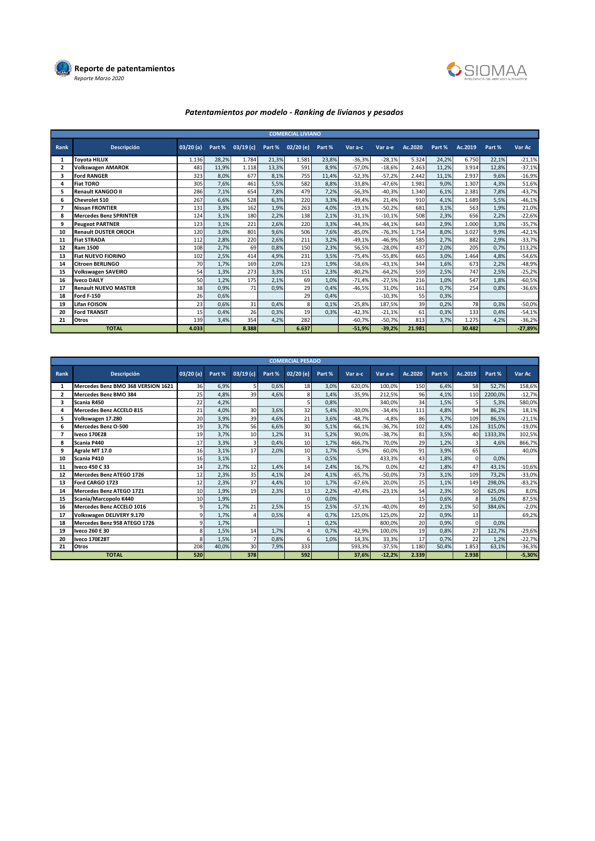



# Patentamientos por modelo - Ranking de livianos y pesados

| <b>COMERCIAL LIVIANO</b> |                             |             |        |             |        |          |        |          |          |         |        |         |        |           |
|--------------------------|-----------------------------|-------------|--------|-------------|--------|----------|--------|----------|----------|---------|--------|---------|--------|-----------|
| Rank                     | <b>Descripción</b>          | $03/20$ (a) | Part % | $03/19$ (c) | Part % | 02/20(e) | Part % | Var a-c  | Var a-e  | Ac.2020 | Part % | Ac.2019 | Part % | Var Ac    |
| 1                        | <b>Tovota HILUX</b>         | 1.136       | 28,2%  | 1.784       | 21,3%  | 1.581    | 23,8%  | $-36,3%$ | $-28,1%$ | 5.324   | 24,2%  | 6.750   | 22,1%  | $-21,1%$  |
| $\overline{2}$           | <b>Volkswagen AMAROK</b>    | 481         | 11,9%  | 1.118       | 13,3%  | 591      | 8,9%   | $-57,0%$ | $-18,6%$ | 2.463   | 11,2%  | 3.914   | 12,8%  | $-37,1%$  |
| 3                        | <b>Ford RANGER</b>          | 323         | 8,0%   | 677         | 8,1%   | 755      | 11,4%  | $-52,3%$ | $-57,2%$ | 2.442   | 11,1%  | 2.937   | 9,6%   | $-16,9%$  |
| 4                        | <b>Fiat TORO</b>            | 305         | 7,6%   | 461         | 5,5%   | 582      | 8,8%   | $-33,8%$ | $-47,6%$ | 1.981   | 9,0%   | 1.307   | 4,3%   | 51,6%     |
| 5                        | <b>Renault KANGOO II</b>    | 286         | 7,1%   | 654         | 7,8%   | 479      | 7,2%   | $-56,3%$ | $-40,3%$ | 1.340   | 6,1%   | 2.381   | 7,8%   | $-43,7%$  |
| 6                        | Chevrolet S10               | 267         | 6,6%   | 528         | 6,3%   | 220      | 3,3%   | $-49,4%$ | 21,4%    | 910     | 4,1%   | 1.689   | 5,5%   | $-46,1%$  |
| 7                        | Nissan FRONTIER             | 131         | 3,3%   | 162         | 1,9%   | 263      | 4,0%   | $-19,1%$ | $-50,2%$ | 681     | 3,1%   | 563     | 1,9%   | 21,0%     |
| 8                        | Mercedes Benz SPRINTER      | 124         | 3,1%   | 180         | 2,2%   | 138      | 2,1%   | $-31,1%$ | $-10,1%$ | 508     | 2,3%   | 656     | 2,2%   | $-22,6%$  |
| 9                        | <b>Peugeot PARTNER</b>      | 123         | 3,1%   | 221         | 2,6%   | 220      | 3,3%   | $-44,3%$ | $-44.1%$ | 643     | 2,9%   | 1.000   | 3,3%   | $-35,7%$  |
| 10                       | <b>Renault DUSTER OROCH</b> | 120         | 3,0%   | 801         | 9,6%   | 506      | 7,6%   | $-85,0%$ | $-76,3%$ | 1.754   | 8,0%   | 3.027   | 9,9%   | $-42,1%$  |
| 11                       | <b>Fiat STRADA</b>          | 112         | 2,8%   | 220         | 2,6%   | 211      | 3,2%   | $-49,1%$ | $-46,9%$ | 585     | 2,7%   | 882     | 2,9%   | $-33,7%$  |
| 12                       | <b>Ram 1500</b>             | 108         | 2,7%   | 69          | 0,8%   | 150      | 2,3%   | 56,5%    | $-28.0%$ | 437     | 2,0%   | 205     | 0.7%   | 113,2%    |
| 13                       | <b>Fiat NUEVO FIORINO</b>   | 102         | 2,5%   | 414         | 4,9%   | 231      | 3,5%   | $-75,4%$ | $-55.8%$ | 665     | 3,0%   | 1.464   | 4,8%   | $-54,6%$  |
| 14                       | <b>Citroen BERLINGO</b>     | 70          | 1,7%   | 169         | 2,0%   | 123      | 1,9%   | $-58,6%$ | $-43.1%$ | 344     | 1,6%   | 673     | 2,2%   | $-48,9%$  |
| 15                       | <b>Volkswagen SAVEIRO</b>   | 54          | 1,3%   | 273         | 3,3%   | 151      | 2,3%   | $-80,2%$ | $-64,2%$ | 559     | 2,5%   | 747     | 2,5%   | $-25,2%$  |
| 16                       | <b>Iveco DAILY</b>          | 50          | 1,2%   | 175         | 2.1%   | 69       | 1,0%   | $-71,4%$ | $-27.5%$ | 216     | 1,0%   | 547     | 1.8%   | $-60,5%$  |
| 17                       | <b>Renault NUEVO MASTER</b> | 38          | 0,9%   | 71          | 0,9%   | 29       | 0.4%   | $-46,5%$ | 31.0%    | 161     | 0.7%   | 254     | 0.8%   | $-36,6%$  |
| 18                       | Ford F-150                  | 26          | 0,6%   |             |        | 29       | 0,4%   |          | $-10.3%$ | 55      | 0,3%   |         |        |           |
| 19                       | Lifan FOISON                | 23          | 0,6%   | 31          | 0,4%   | 8        | 0,1%   | $-25,8%$ | 187.5%   | 39      | 0,2%   | 78      | 0,3%   | $-50,0%$  |
| 20                       | <b>Ford TRANSIT</b>         | 15          | 0.4%   | 26          | 0,3%   | 19       | 0,3%   | $-42.3%$ | $-21.1%$ | 61      | 0,3%   | 133     | 0.4%   | $-54,1%$  |
| 21                       | <b>Otros</b>                | 139         | 3,4%   | 354         | 4,2%   | 282      |        | $-60,7%$ | $-50,7%$ | 813     | 3,7%   | 1.275   | 4.2%   | $-36,2%$  |
|                          | <b>TOTAL</b>                | 4.033       |        | 8.388       |        | 6.637    |        | $-51,9%$ | $-39,2%$ | 21.981  |        | 30.482  |        | $-27,89%$ |

| <b>COMERCIAL PESADO</b> |                                    |             |        |                 |        |          |        |          |          |         |        |         |         |          |
|-------------------------|------------------------------------|-------------|--------|-----------------|--------|----------|--------|----------|----------|---------|--------|---------|---------|----------|
| Rank                    | <b>Descripción</b>                 | $03/20$ (a) | Part % | $03/19$ (c)     | Part % | 02/20(e) | Part % | Var a-c  | Var a-e  | Ac.2020 | Part % | Ac.2019 | Part %  | Var Ac   |
|                         | Mercedes Benz BMO 368 VERSION 1621 | 36          | 6,9%   | 5               | 0.6%   | 18       | 3.0%   | 620.0%   | 100.0%   | 150     | 6.4%   | 58      | 52,7%   | 158,6%   |
| 2                       | Mercedes Benz BMO 384              | 25          | 4,8%   | 39              | 4,6%   |          | 1.4%   | $-35,9%$ | 212.5%   | 96      | 4,1%   | 110     | 2200,0% | $-12,7%$ |
| 3                       | Scania R450                        | 22          | 4,2%   |                 |        |          | 0,8%   |          | 340.0%   | 34      | 1,5%   |         | 5,3%    | 580,0%   |
| Δ                       | Mercedes Benz ACCELO 815           | 21          | 4,0%   | 30 <sup>1</sup> | 3.6%   | 32       | 5.4%   | $-30.0%$ | $-34.4%$ | 111     | 4,8%   | 94      | 86.2%   | 18,1%    |
| 5                       | Volkswagen 17.280                  | 20          | 3,9%   | 39              | 4,6%   | 21       | 3,6%   | $-48,7%$ | $-4.8%$  | 86      | 3.7%   | 109     | 86,5%   | $-21,1%$ |
| 6                       | Mercedes Benz O-500                | 19          | 3,7%   | 56              | 6.6%   | 30       | 5,1%   | $-66.1%$ | $-36.7%$ | 102     | 4,4%   | 126     | 315.0%  | $-19,0%$ |
| $\overline{\mathbf{z}}$ | <b>Iveco 170E28</b>                | 19          | 3.7%   | 10              | 1,2%   | 31       | 5,2%   | 90.0%    | $-38.7%$ | 81      | 3.5%   | 40      | 1333.3% | 102,5%   |
| 8                       | Scania P440                        | 17          | 3,3%   | 3               | 0,4%   | 10       | 1,7%   | 466.7%   | 70.0%    | 29      | 1,2%   | з       | 4,6%    | 866,7%   |
| 9                       | Agrale MT 17.0                     | 16          | 3,1%   | 17              | 2,0%   | 10       | 1,7%   | $-5.9%$  | 60.0%    | 91      | 3.9%   | 65      |         | 40,0%    |
| 10                      | Scania P410                        | 16          | 3,1%   |                 |        |          | 0.5%   |          | 433.3%   | 43      | 1.8%   | 0       | 0.0%    |          |
| 11                      | Iveco 450 C 33                     | 14          | 2,7%   | 12              | 1.4%   | 14       | 2,4%   | 16.7%    | 0.0%     | 42      | 1,8%   | 47      | 43.1%   | $-10,6%$ |
| 12                      | Mercedes Benz ATEGO 1726           | 12          | 2,3%   | 35              | 4.1%   | 24       | 4.1%   | $-65.7%$ | $-50.0%$ | 73      | 3.1%   | 109     | 73.2%   | $-33,0%$ |
| 13                      | Ford CARGO 1723                    | 12          | 2,3%   | 37              | 4,4%   | 10       | 1,7%   | $-67,6%$ | 20.0%    | 25      | 1,1%   | 149     | 298.0%  | $-83,2%$ |
| 14                      | Mercedes Benz ATEGO 1721           | 10          | 1,9%   | 19              | 2,3%   | 13       | 2,2%   | $-47.4%$ | $-23,1%$ | 54      | 2,3%   | 50      | 625.0%  | 8,0%     |
| 15                      | Scania/Marcopolo K440              | 10          | 1,9%   |                 |        |          | 0,0%   |          |          | 15      | 0.6%   | 8       | 16.0%   | 87,5%    |
| 16                      | Mercedes Benz ACCELO 1016          | 9           | 1,7%   | 21              | 2,5%   | 15       | 2,5%   | $-57,1%$ | $-40,0%$ | 49      | 2,1%   | 50      | 384.6%  | $-2,0%$  |
| 17                      | Volkswagen DELIVERY 9.170          | 9           | 1.7%   | 4               | 0.5%   |          | 0.7%   | 125,0%   | 125.0%   | 22      | 0,9%   | 13      |         | 69,2%    |
| 18                      | Mercedes Benz 958 ATEGO 1726       | 9           | 1,7%   |                 |        |          | 0,2%   |          | 800,0%   | 20      | 0,9%   | 0       | 0,0%    |          |
| 19                      | Iveco 260 E 30                     | 8           | 1,5%   | 14              | 1,7%   |          | 0.7%   | $-42,9%$ | 100,0%   | 19      | 0,8%   | 27      | 122,7%  | $-29,6%$ |
| 20                      | Iveco 170E28T                      | 8           | 1,5%   | $\overline{7}$  | 0,8%   |          | 1,0%   | 14,3%    | 33,3%    | 17      | 0,7%   | 22      | 1,2%    | $-22,7%$ |
| 21                      | <b>Otros</b>                       | 208         | 40,0%  | 30 <sup>1</sup> | 7.9%   | 333      |        | 593,3%   | $-37,5%$ | 1.180   | 50.4%  | 1.853   | 63.1%   | $-36,3%$ |
|                         | <b>TOTAL</b>                       | 520         |        | 378             |        | 592      |        | 37.6%    | $-12.2%$ | 2.339   |        | 2.938   |         | $-5,30%$ |